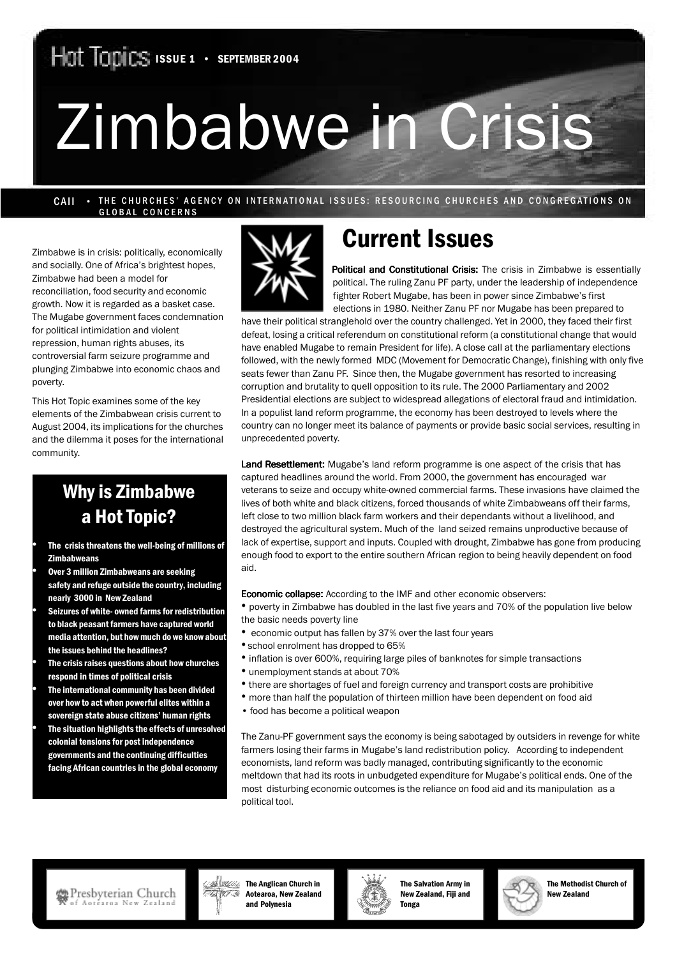# Zimbabwe in Crisis

CAII • THE CHURCHES' AGENCY ON INTERNATIONAL ISSUES: RESOURCING CHURCHES AND CONGREGATIONS ON GLOBAL CONCERNS

Zimbabwe is in crisis: politically, economically and socially. One of Africa's brightest hopes, Zimbabwe had been a model for reconciliation, food security and economic growth. Now it is regarded as a basket case. The Mugabe government faces condemnation for political intimidation and violent repression, human rights abuses, its controversial farm seizure programme and plunging Zimbabwe into economic chaos and poverty.

This Hot Topic examines some of the key elements of the Zimbabwean crisis current to August 2004, its implications for the churches and the dilemma it poses for the international community.

## Why is Zimbabwe a Hot Topic?

- The crisis threatens the well-being of millions of **Zimbabweans**
- Over 3 million Zimbabweans are seeking safety and refuge outside the country, including nearly 3000 in New Zealand
- Seizures of white- owned farms for redistribution to black peasant farmers have captured world media attention, but how much do we know about the issues behind the headlines?
- The crisis raises questions about how churches respond in times of political crisis
- The international community has been divided over how to act when powerful elites within a sovereign state abuse citizens' human rights
- The situation highlights the effects of unresolved colonial tensions for post independence governments and the continuing difficulties facing African countries in the global economy



## Current Issues

Political and Constitutional Crisis: The crisis in Zimbabwe is essentially political. The ruling Zanu PF party, under the leadership of independence fighter Robert Mugabe, has been in power since Zimbabwe's first elections in 1980. Neither Zanu PF nor Mugabe has been prepared to

have their political stranglehold over the country challenged. Yet in 2000, they faced their first defeat, losing a critical referendum on constitutional reform (a constitutional change that would have enabled Mugabe to remain President for life). A close call at the parliamentary elections followed, with the newly formed MDC (Movement for Democratic Change), finishing with only five seats fewer than Zanu PF. Since then, the Mugabe government has resorted to increasing corruption and brutality to quell opposition to its rule. The 2000 Parliamentary and 2002 Presidential elections are subject to widespread allegations of electoral fraud and intimidation. In a populist land reform programme, the economy has been destroyed to levels where the country can no longer meet its balance of payments or provide basic social services, resulting in unprecedented poverty.

Land Resettlement: Mugabe's land reform programme is one aspect of the crisis that has captured headlines around the world. From 2000, the government has encouraged war veterans to seize and occupy white-owned commercial farms. These invasions have claimed the lives of both white and black citizens, forced thousands of white Zimbabweans off their farms, left close to two million black farm workers and their dependants without a livelihood, and destroyed the agricultural system. Much of the land seized remains unproductive because of lack of expertise, support and inputs. Coupled with drought, Zimbabwe has gone from producing enough food to export to the entire southern African region to being heavily dependent on food aid.

**Economic collapse:** According to the IMF and other economic observers:

- poverty in Zimbabwe has doubled in the last five years and 70% of the population live below the basic needs poverty line
- economic output has fallen by 37% over the last four years
	- school enrolment has dropped to 65%
	- inflation is over 600%, requiring large piles of banknotes for simple transactions
- unemployment stands at about 70%
- there are shortages of fuel and foreign currency and transport costs are prohibitive
- more than half the population of thirteen million have been dependent on food aid
- food has become a political weapon

The Zanu-PF government says the economy is being sabotaged by outsiders in revenge for white farmers losing their farms in Mugabe's land redistribution policy. According to independent economists, land reform was badly managed, contributing significantly to the economic meltdown that had its roots in unbudgeted expenditure for Mugabe's political ends. One of the most disturbing economic outcomes is the reliance on food aid and its manipulation as a political tool.



**Alikk Korean Church in**  $\overline{\mathbb{Z}/\mathbb{Z}}$  Aotearoa, New Zealand and Polynesia



The Salvation Army in New Zealand, Fiji and **Tonga** 



The Methodist Church of New Zealand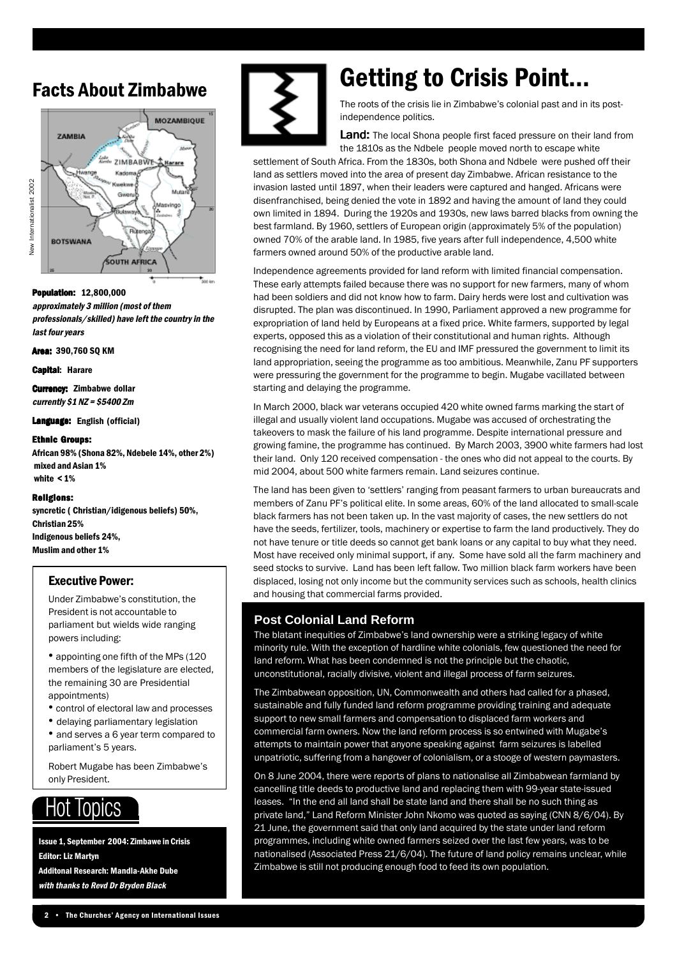## Facts About Zimbabwe



#### Population: Population: Population: 12,800,000

approximately 3 million (most of them professionals/skilled) have left the country in the last four years

Area: 390.760 SO KM

**Capital: Harare** 

**Currency: Zimbabwe dollar** currently  $$1$  NZ =  $$5400$  Zm

Language: English (official)

#### Ethnic Groups:

African 98% (Shona 82%, Ndebele 14%, other 2%) mixed and Asian 1% white < 1%

#### Religions:

syncretic ( Christian/idigenous beliefs) 50%, Christian 25% Indigenous beliefs 24%, Muslim and other 1%

#### Executive Power:

Under Zimbabwe's constitution, the President is not accountable to parliament but wields wide ranging powers including:

• appointing one fifth of the MPs (120 members of the legislature are elected, the remaining 30 are Presidential appointments)

- control of electoral law and processes
- delaying parliamentary legislation
- and serves a 6 year term compared to parliament's 5 years.

Robert Mugabe has been Zimbabwe's only President.

#### Hot **Topics**

Issue 1, September 2004: Zimbawe in Crisis Editor: Liz Martyn Additonal Research: Mandla-Akhe Dube with thanks to Revd Dr Bryden Black



# Getting to Crisis Point...

The roots of the crisis lie in Zimbabwe's colonial past and in its postindependence politics.

Land: The local Shona people first faced pressure on their land from the 1810s as the Ndbele people moved north to escape white

settlement of South Africa. From the 1830s, both Shona and Ndbele were pushed off their land as settlers moved into the area of present day Zimbabwe. African resistance to the invasion lasted until 1897, when their leaders were captured and hanged. Africans were disenfranchised, being denied the vote in 1892 and having the amount of land they could own limited in 1894. During the 1920s and 1930s, new laws barred blacks from owning the best farmland. By 1960, settlers of European origin (approximately 5% of the population) owned 70% of the arable land. In 1985, five years after full independence, 4,500 white farmers owned around 50% of the productive arable land.

Independence agreements provided for land reform with limited financial compensation. These early attempts failed because there was no support for new farmers, many of whom had been soldiers and did not know how to farm. Dairy herds were lost and cultivation was disrupted. The plan was discontinued. In 1990, Parliament approved a new programme for expropriation of land held by Europeans at a fixed price. White farmers, supported by legal experts, opposed this as a violation of their constitutional and human rights. Although recognising the need for land reform, the EU and IMF pressured the government to limit its land appropriation, seeing the programme as too ambitious. Meanwhile, Zanu PF supporters were pressuring the government for the programme to begin. Mugabe vacillated between starting and delaying the programme.

In March 2000, black war veterans occupied 420 white owned farms marking the start of illegal and usually violent land occupations. Mugabe was accused of orchestrating the takeovers to mask the failure of his land programme. Despite international pressure and growing famine, the programme has continued. By March 2003, 3900 white farmers had lost their land. Only 120 received compensation - the ones who did not appeal to the courts. By mid 2004, about 500 white farmers remain. Land seizures continue.

The land has been given to 'settlers' ranging from peasant farmers to urban bureaucrats and members of Zanu PF's political elite. In some areas, 60% of the land allocated to small-scale black farmers has not been taken up. In the vast majority of cases, the new settlers do not have the seeds, fertilizer, tools, machinery or expertise to farm the land productively. They do not have tenure or title deeds so cannot get bank loans or any capital to buy what they need. Most have received only minimal support, if any. Some have sold all the farm machinery and seed stocks to survive. Land has been left fallow. Two million black farm workers have been displaced, losing not only income but the community services such as schools, health clinics and housing that commercial farms provided.

#### **Post Colonial Land Reform**

The blatant inequities of Zimbabwe's land ownership were a striking legacy of white minority rule. With the exception of hardline white colonials, few questioned the need for land reform. What has been condemned is not the principle but the chaotic, unconstitutional, racially divisive, violent and illegal process of farm seizures.

The Zimbabwean opposition, UN, Commonwealth and others had called for a phased, sustainable and fully funded land reform programme providing training and adequate support to new small farmers and compensation to displaced farm workers and commercial farm owners. Now the land reform process is so entwined with Mugabe's attempts to maintain power that anyone speaking against farm seizures is labelled unpatriotic, suffering from a hangover of colonialism, or a stooge of western paymasters.

On 8 June 2004, there were reports of plans to nationalise all Zimbabwean farmland by cancelling title deeds to productive land and replacing them with 99-year state-issued leases. "In the end all land shall be state land and there shall be no such thing as private land," Land Reform Minister John Nkomo was quoted as saying (CNN 8/6/04). By 21 June, the government said that only land acquired by the state under land reform programmes, including white owned farmers seized over the last few years, was to be nationalised (Associated Press 21/6/04). The future of land policy remains unclear, while Zimbabwe is still not producing enough food to feed its own population.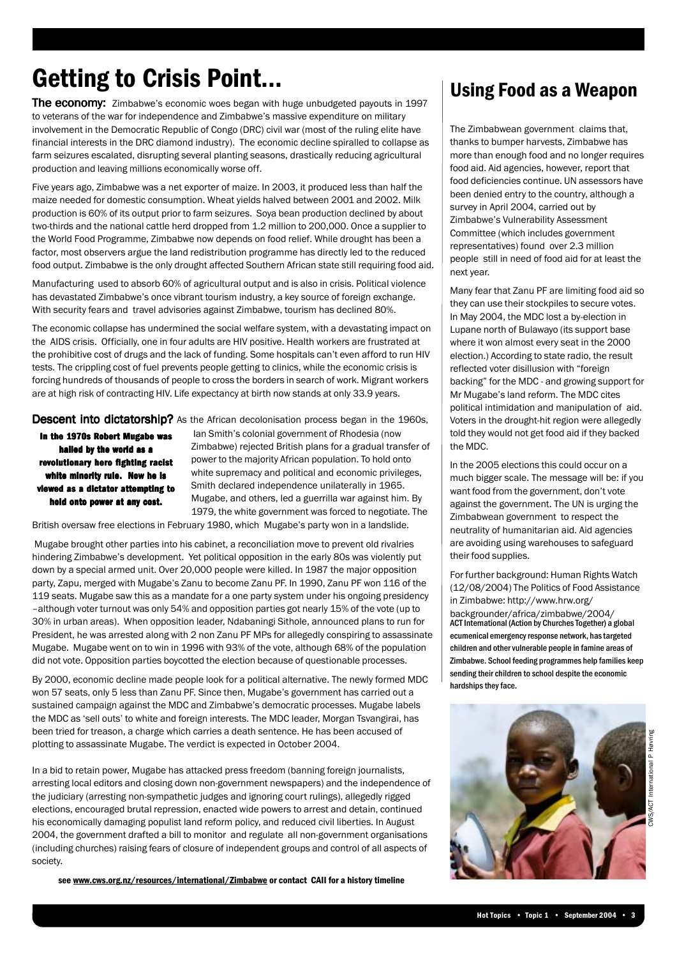# Getting to Crisis Point...

**The economy:** Zimbabwe's economic woes began with huge unbudgeted payouts in 1997 to veterans of the war for independence and Zimbabwe's massive expenditure on military involvement in the Democratic Republic of Congo (DRC) civil war (most of the ruling elite have financial interests in the DRC diamond industry). The economic decline spiralled to collapse as farm seizures escalated, disrupting several planting seasons, drastically reducing agricultural production and leaving millions economically worse off.

Five years ago, Zimbabwe was a net exporter of maize. In 2003, it produced less than half the maize needed for domestic consumption. Wheat yields halved between 2001 and 2002. Milk production is 60% of its output prior to farm seizures. Soya bean production declined by about two-thirds and the national cattle herd dropped from 1.2 million to 200,000. Once a supplier to the World Food Programme, Zimbabwe now depends on food relief. While drought has been a factor, most observers argue the land redistribution programme has directly led to the reduced food output. Zimbabwe is the only drought affected Southern African state still requiring food aid.

Manufacturing used to absorb 60% of agricultural output and is also in crisis. Political violence has devastated Zimbabwe's once vibrant tourism industry, a key source of foreign exchange. With security fears and travel advisories against Zimbabwe, tourism has declined 80%.

The economic collapse has undermined the social welfare system, with a devastating impact on the AIDS crisis. Officially, one in four adults are HIV positive. Health workers are frustrated at the prohibitive cost of drugs and the lack of funding. Some hospitals can't even afford to run HIV tests. The crippling cost of fuel prevents people getting to clinics, while the economic crisis is forcing hundreds of thousands of people to cross the borders in search of work. Migrant workers are at high risk of contracting HIV. Life expectancy at birth now stands at only 33.9 years.

Descent into dictatorship? As the African decolonisation process began in the 1960s,

In the 1970s Robert Mugabe was hailed by the world as a revolutionary hero fighting racist white minority rule. Now he is viewed as a dictator attempting to hold onto power at any cost.

 Ian Smith's colonial government of Rhodesia (now Zimbabwe) rejected British plans for a gradual transfer of power to the majority African population. To hold onto white supremacy and political and economic privileges, Smith declared independence unilaterally in 1965. Mugabe, and others, led a guerrilla war against him. By 1979, the white government was forced to negotiate. The

British oversaw free elections in February 1980, which Mugabe's party won in a landslide.

 Mugabe brought other parties into his cabinet, a reconciliation move to prevent old rivalries hindering Zimbabwe's development. Yet political opposition in the early 80s was violently put down by a special armed unit. Over 20,000 people were killed. In 1987 the major opposition party, Zapu, merged with Mugabe's Zanu to become Zanu PF. In 1990, Zanu PF won 116 of the 119 seats. Mugabe saw this as a mandate for a one party system under his ongoing presidency –although voter turnout was only 54% and opposition parties got nearly 15% of the vote (up to 30% in urban areas). When opposition leader, Ndabaningi Sithole, announced plans to run for President, he was arrested along with 2 non Zanu PF MPs for allegedly conspiring to assassinate Mugabe. Mugabe went on to win in 1996 with 93% of the vote, although 68% of the population did not vote. Opposition parties boycotted the election because of questionable processes.

By 2000, economic decline made people look for a political alternative. The newly formed MDC won 57 seats, only 5 less than Zanu PF. Since then, Mugabe's government has carried out a sustained campaign against the MDC and Zimbabwe's democratic processes. Mugabe labels the MDC as 'sell outs' to white and foreign interests. The MDC leader, Morgan Tsvangirai, has been tried for treason, a charge which carries a death sentence. He has been accused of plotting to assassinate Mugabe. The verdict is expected in October 2004.

In a bid to retain power, Mugabe has attacked press freedom (banning foreign journalists, arresting local editors and closing down non-government newspapers) and the independence of the judiciary (arresting non-sympathetic judges and ignoring court rulings), allegedly rigged elections, encouraged brutal repression, enacted wide powers to arrest and detain, continued his economically damaging populist land reform policy, and reduced civil liberties. In August 2004, the government drafted a bill to monitor and regulate all non-government organisations (including churches) raising fears of closure of independent groups and control of all aspects of society.

see www.cws.org.nz/resources/international/Zimbabwe or contact CAII for a history timeline

## Using Food as a Weapon

The Zimbabwean government claims that, thanks to bumper harvests, Zimbabwe has more than enough food and no longer requires food aid. Aid agencies, however, report that food deficiencies continue. UN assessors have been denied entry to the country, although a survey in April 2004, carried out by Zimbabwe's Vulnerability Assessment Committee (which includes government representatives) found over 2.3 million people still in need of food aid for at least the next year.

Many fear that Zanu PF are limiting food aid so they can use their stockpiles to secure votes. In May 2004, the MDC lost a by-election in Lupane north of Bulawayo (its support base where it won almost every seat in the 2000 election.) According to state radio, the result reflected voter disillusion with "foreign backing" for the MDC - and growing support for Mr Mugabe's land reform. The MDC cites political intimidation and manipulation of aid. Voters in the drought-hit region were allegedly told they would not get food aid if they backed the MDC.

In the 2005 elections this could occur on a much bigger scale. The message will be: if you want food from the government, don't vote against the government. The UN is urging the Zimbabwean government to respect the neutrality of humanitarian aid. Aid agencies are avoiding using warehouses to safeguard their food supplies.

For further background: Human Rights Watch (12/08/2004) The Politics of Food Assistance in Zimbabwe: http://www.hrw.org/ backgrounder/africa/zimbabwe/2004/ ACT International (Action by Churches Together) a global ecumenical emergency response network, has targeted children and other vulnerable people in famine areas of Zimbabwe. School feeding programmes help families keep sending their children to school despite the economic hardships they face.

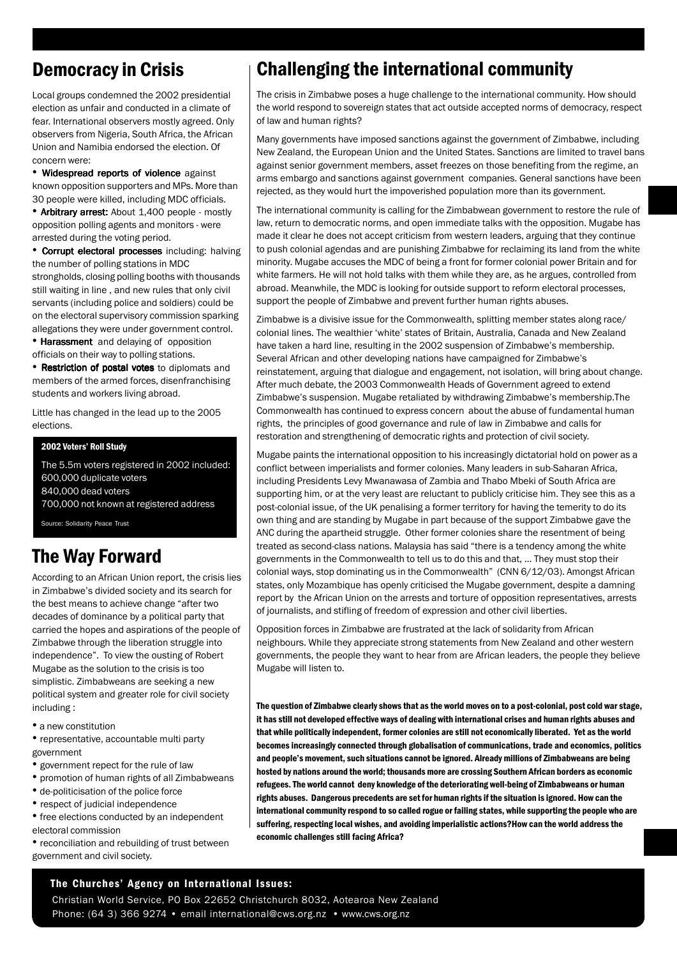## Democracy in Crisis

Local groups condemned the 2002 presidential election as unfair and conducted in a climate of fear. International observers mostly agreed. Only observers from Nigeria, South Africa, the African Union and Namibia endorsed the election. Of concern were:

• Widespread reports of violence against known opposition supporters and MPs. More than 30 people were killed, including MDC officials.

• Arbitrary arrest: About 1,400 people - mostly opposition polling agents and monitors - were arrested during the voting period.

• Corrupt electoral processes including: halving the number of polling stations in MDC strongholds, closing polling booths with thousands still waiting in line , and new rules that only civil servants (including police and soldiers) could be on the electoral supervisory commission sparking allegations they were under government control.

• Harassment and delaying of opposition officials on their way to polling stations.

• Restriction of postal votes to diplomats and members of the armed forces, disenfranchising students and workers living abroad.

Little has changed in the lead up to the 2005 elections.

#### 2002 Voters' Roll Study

The 5.5m voters registered in 2002 included: 600,000 duplicate voters 840,000 dead voters 700,000 not known at registered address

Source: Solidarity Peace Trust

## The Way Forward

According to an African Union report, the crisis lies in Zimbabwe's divided society and its search for the best means to achieve change "after two decades of dominance by a political party that carried the hopes and aspirations of the people of Zimbabwe through the liberation struggle into independence". To view the ousting of Robert Mugabe as the solution to the crisis is too simplistic. Zimbabweans are seeking a new political system and greater role for civil society including :

• a new constitution

• representative, accountable multi party government

- government repect for the rule of law
- promotion of human rights of all Zimbabweans
- de-politicisation of the police force
- respect of judicial independence
- free elections conducted by an independent electoral commission
- reconciliation and rebuilding of trust between government and civil society.

## Challenging the international community

The crisis in Zimbabwe poses a huge challenge to the international community. How should the world respond to sovereign states that act outside accepted norms of democracy, respect of law and human rights?

Many governments have imposed sanctions against the government of Zimbabwe, including New Zealand, the European Union and the United States. Sanctions are limited to travel bans against senior government members, asset freezes on those benefiting from the regime, an arms embargo and sanctions against government companies. General sanctions have been rejected, as they would hurt the impoverished population more than its government.

The international community is calling for the Zimbabwean government to restore the rule of law, return to democratic norms, and open immediate talks with the opposition. Mugabe has made it clear he does not accept criticism from western leaders, arguing that they continue to push colonial agendas and are punishing Zimbabwe for reclaiming its land from the white minority. Mugabe accuses the MDC of being a front for former colonial power Britain and for white farmers. He will not hold talks with them while they are, as he argues, controlled from abroad. Meanwhile, the MDC is looking for outside support to reform electoral processes, support the people of Zimbabwe and prevent further human rights abuses.

Zimbabwe is a divisive issue for the Commonwealth, splitting member states along race/ colonial lines. The wealthier 'white' states of Britain, Australia, Canada and New Zealand have taken a hard line, resulting in the 2002 suspension of Zimbabwe's membership. Several African and other developing nations have campaigned for Zimbabwe's reinstatement, arguing that dialogue and engagement, not isolation, will bring about change. After much debate, the 2003 Commonwealth Heads of Government agreed to extend Zimbabwe's suspension. Mugabe retaliated by withdrawing Zimbabwe's membership.The Commonwealth has continued to express concern about the abuse of fundamental human rights, the principles of good governance and rule of law in Zimbabwe and calls for restoration and strengthening of democratic rights and protection of civil society.

Mugabe paints the international opposition to his increasingly dictatorial hold on power as a conflict between imperialists and former colonies. Many leaders in sub-Saharan Africa, including Presidents Levy Mwanawasa of Zambia and Thabo Mbeki of South Africa are supporting him, or at the very least are reluctant to publicly criticise him. They see this as a post-colonial issue, of the UK penalising a former territory for having the temerity to do its own thing and are standing by Mugabe in part because of the support Zimbabwe gave the ANC during the apartheid struggle. Other former colonies share the resentment of being treated as second-class nations. Malaysia has said "there is a tendency among the white governments in the Commonwealth to tell us to do this and that, … They must stop their colonial ways, stop dominating us in the Commonwealth" (CNN 6/12/03). Amongst African states, only Mozambique has openly criticised the Mugabe government, despite a damning report by the African Union on the arrests and torture of opposition representatives, arrests of journalists, and stifling of freedom of expression and other civil liberties.

Opposition forces in Zimbabwe are frustrated at the lack of solidarity from African neighbours. While they appreciate strong statements from New Zealand and other western governments, the people they want to hear from are African leaders, the people they believe Mugabe will listen to.

The question of Zimbabwe clearly shows that as the world moves on to a post-colonial, post cold war stage, it has still not developed effective ways of dealing with international crises and human rights abuses and that while politically independent, former colonies are still not economically liberated. Yet as the world becomes increasingly connected through globalisation of communications, trade and economics, politics and people's movement, such situations cannot be ignored. Already millions of Zimbabweans are being hosted by nations around the world; thousands more are crossing Southern African borders as economic refugees. The world cannot deny knowledge of the deteriorating well-being of Zimbabweans or human rights abuses. Dangerous precedents are set for human rights if the situation is ignored. How can the international community respond to so called rogue or failing states, while supporting the people who are suffering, respecting local wishes, and avoiding imperialistic actions?How can the world address the economic challenges still facing Africa?

#### The Churches' Agency on International Issues:

Phone: (64 3) 366 9274 • email international@cws.org.nz • www.cws.org.nz Christian World Service, PO Box 22652 Christchurch 8032, Aotearoa New Zealand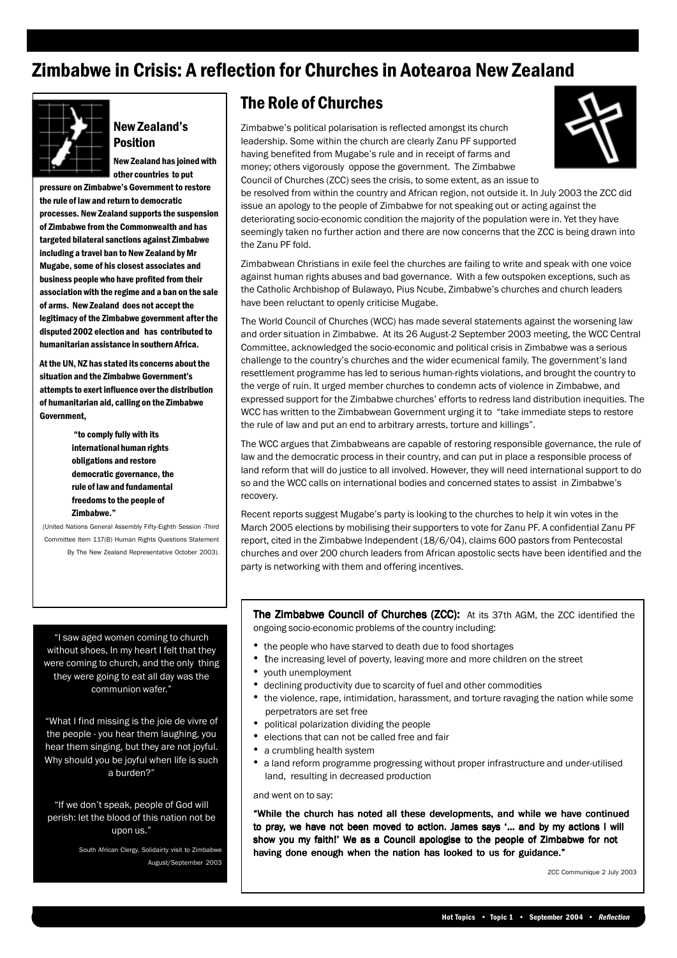## Zimbabwe in Crisis: A reflection for Churches in Aotearoa New Zealand



#### New Zealand's Position

New Zealand has joined with other countries to put

pressure on Zimbabwe's Government to restore the rule of law and return to democratic processes. New Zealand supports the suspension of Zimbabwe from the Commonwealth and has targeted bilateral sanctions against Zimbabwe including a travel ban to New Zealand by Mr Mugabe, some of his closest associates and business people who have profited from their association with the regime and a ban on the sale of arms. New Zealand does not accept the legitimacy of the Zimbabwe government after the disputed 2002 election and has contributed to humanitarian assistance in southern Africa.

At the UN, NZ has stated its concerns about the situation and the Zimbabwe Government's attempts to exert influence over the distribution of humanitarian aid, calling on the Zimbabwe Government,

> "to comply fully with its international human rights obligations and restore democratic governance, the rule of law and fundamental freedoms to the people of Zimbabwe."

 (United Nations General Assembly Fifty-Eighth Session -Third Committee Item 117(B) Human Rights Questions Statement By The New Zealand Representative October 2003).

"I saw aged women coming to church without shoes, In my heart I felt that they were coming to church, and the only thing they were going to eat all day was the communion wafer."

"What I find missing is the joie de vivre of the people - you hear them laughing, you hear them singing, but they are not joyful. Why should you be joyful when life is such a burden?"

"If we don't speak, people of God will perish: let the blood of this nation not be upon us."

> South African Clergy, Solidairty visit to Zimbabwe August/September 2003

### The Role of Churches

Zimbabwe's political polarisation is reflected amongst its church leadership. Some within the church are clearly Zanu PF supported having benefited from Mugabe's rule and in receipt of farms and money; others vigorously oppose the government. The Zimbabwe Council of Churches (ZCC) sees the crisis, to some extent, as an issue to



be resolved from within the country and African region, not outside it. In July 2003 the ZCC did issue an apology to the people of Zimbabwe for not speaking out or acting against the deteriorating socio-economic condition the majority of the population were in. Yet they have seemingly taken no further action and there are now concerns that the ZCC is being drawn into the Zanu PF fold.

Zimbabwean Christians in exile feel the churches are failing to write and speak with one voice against human rights abuses and bad governance. With a few outspoken exceptions, such as the Catholic Archbishop of Bulawayo, Pius Ncube, Zimbabwe's churches and church leaders have been reluctant to openly criticise Mugabe.

The World Council of Churches (WCC) has made several statements against the worsening law and order situation in Zimbabwe. At its 26 August-2 September 2003 meeting, the WCC Central Committee, acknowledged the socio-economic and political crisis in Zimbabwe was a serious challenge to the country's churches and the wider ecumenical family. The government's land resettlement programme has led to serious human-rights violations, and brought the country to the verge of ruin. It urged member churches to condemn acts of violence in Zimbabwe, and expressed support for the Zimbabwe churches' efforts to redress land distribution inequities. The WCC has written to the Zimbabwean Government urging it to "take immediate steps to restore the rule of law and put an end to arbitrary arrests, torture and killings".

The WCC argues that Zimbabweans are capable of restoring responsible governance, the rule of law and the democratic process in their country, and can put in place a responsible process of land reform that will do justice to all involved. However, they will need international support to do so and the WCC calls on international bodies and concerned states to assist in Zimbabwe's recovery.

Recent reports suggest Mugabe's party is looking to the churches to help it win votes in the March 2005 elections by mobilising their supporters to vote for Zanu PF. A confidential Zanu PF report, cited in the Zimbabwe Independent (18/6/04), claims 600 pastors from Pentecostal churches and over 200 church leaders from African apostolic sects have been identified and the party is networking with them and offering incentives.

The Zimbabwe Council of Churches (ZCC): At its 37th AGM, the ZCC identified the ongoing socio-economic problems of the country including:

- the people who have starved to death due to food shortages
- the increasing level of poverty, leaving more and more children on the street
- youth unemployment
- declining productivity due to scarcity of fuel and other commodities
- the violence, rape, intimidation, harassment, and torture ravaging the nation while some perpetrators are set free
- political polarization dividing the people
- elections that can not be called free and fair
- a crumbling health system
- a land reform programme progressing without proper infrastructure and under-utilised land, resulting in decreased production

and went on to say:

"While the church has noted all these developments, and while we have continued to pray, we have not been moved to action. James says '... and by my actions I will show you my faith!' We as a Council apologise to the people of Zimbabwe for not having done enough when the nation has looked to us for guidance."

ZCC Communique 2 July 2003